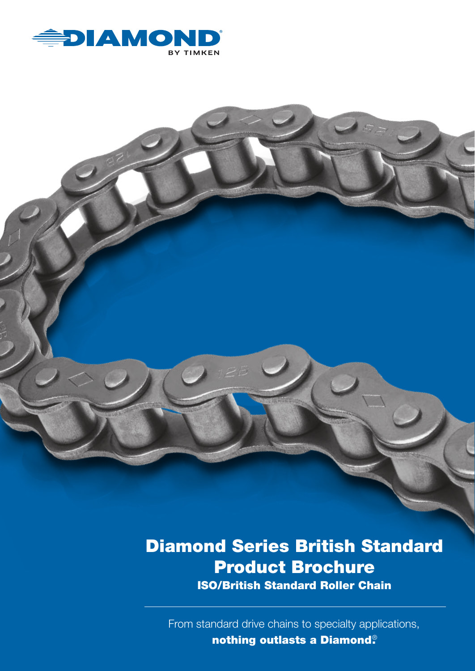

# Diamond Series British Standard Product Brochure ISO/British Standard Roller Chain

From standard drive chains to specialty applications, nothing outlasts a Diamond®.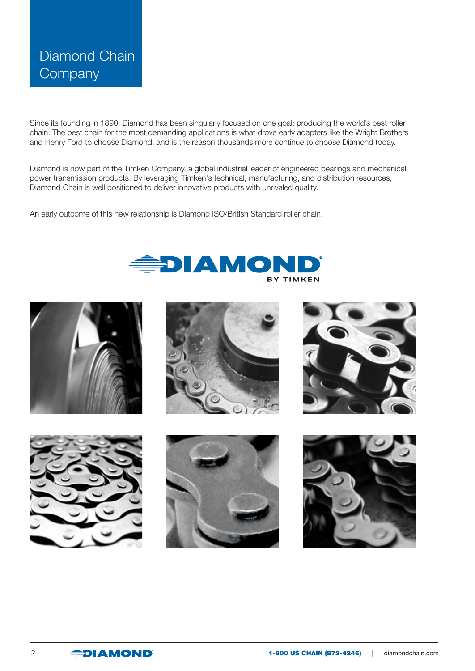# Diamond Chain **Company**

Since its founding in 1890, Diamond has been singularly focused on one goal: producing the world's best roller chain. The best chain for the most demanding applications is what drove early adapters like the Wright Brothers and Henry Ford to choose Diamond, and is the reason thousands more continue to choose Diamond today.

Diamond is now part of the Timken Company, a global industrial leader of engineered bearings and mechanical power transmission products. By leveraging Timken's technical, manufacturing, and distribution resources, Diamond Chain is well positioned to deliver innovative products with unrivaled quality.

An early outcome of this new relationship is Diamond ISO/British Standard roller chain.



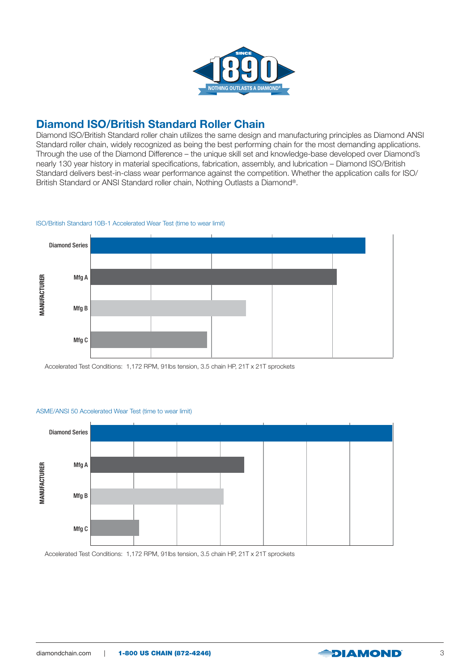

#### Diamond ISO/British Standard Roller Chain

Diamond ISO/British Standard roller chain utilizes the same design and manufacturing principles as Diamond ANSI Standard roller chain, widely recognized as being the best performing chain for the most demanding applications. Through the use of the Diamond Difference – the unique skill set and knowledge-base developed over Diamond's nearly 130 year history in material specifications, fabrication, assembly, and lubrication – Diamond ISO/British Standard delivers best-in-class wear performance against the competition. Whether the application calls for ISO/ British Standard or ANSI Standard roller chain, Nothing Outlasts a Diamond®.

#### ISO/British Standard 10B-1 Accelerated Wear Test (time to wear limit)



Accelerated Test Conditions: 1,172 RPM, 91lbs tension, 3.5 chain HP, 21T x 21T sprockets





Accelerated Test Conditions: 1,172 RPM, 91lbs tension, 3.5 chain HP, 21T x 21T sprockets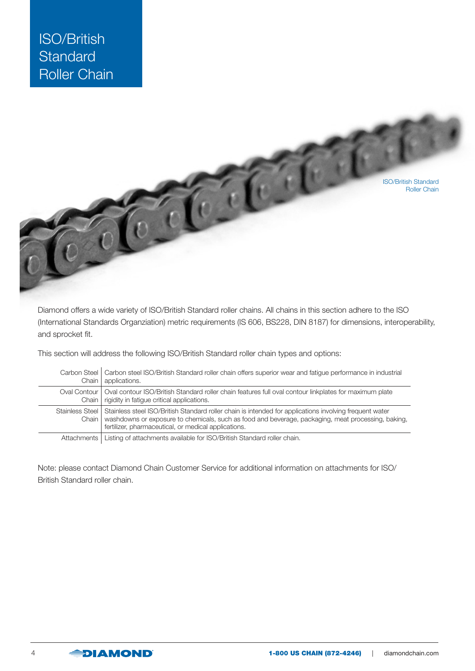

Diamond offers a wide variety of ISO/British Standard roller chains. All chains in this section adhere to the ISO (International Standards Organziation) metric requirements (IS 606, BS228, DIN 8187) for dimensions, interoperability, and sprocket fit.

This section will address the following ISO/British Standard roller chain types and options:

| Carbon Steel               | Carbon steel ISO/British Standard roller chain offers superior wear and fatigue performance in industrial                                                                                                                                                             |
|----------------------------|-----------------------------------------------------------------------------------------------------------------------------------------------------------------------------------------------------------------------------------------------------------------------|
| Chain                      | applications.                                                                                                                                                                                                                                                         |
| Oval Contour I             | Oval contour ISO/British Standard roller chain features full oval contour linkplates for maximum plate                                                                                                                                                                |
| Chain                      | rigidity in fatigue critical applications.                                                                                                                                                                                                                            |
| Stainless Steel L<br>Chain | Stainless steel ISO/British Standard roller chain is intended for applications involving frequent water<br>washdowns or exposure to chemicals, such as food and beverage, packaging, meat processing, baking,<br>fertilizer, pharmaceutical, or medical applications. |
| Attachments                | Listing of attachments available for ISO/British Standard roller chain.                                                                                                                                                                                               |

Note: please contact Diamond Chain Customer Service for additional information on attachments for ISO/ British Standard roller chain.

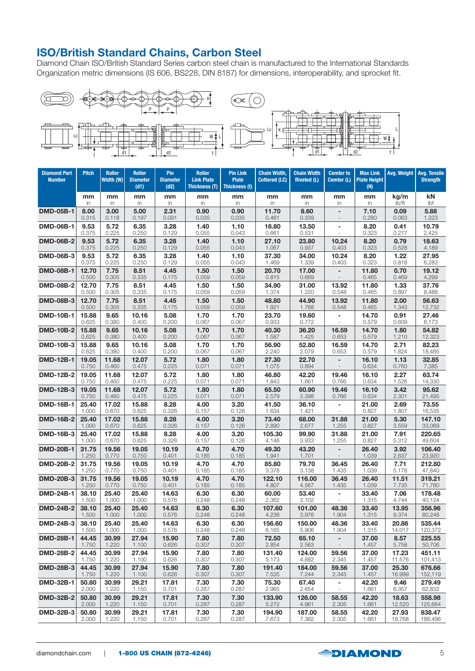### ISO/British Standard Chains, Carbon Steel

Diamond Chain ISO/British Standard Series carbon steel chain is manufactured to the International Standards Organization metric dimensions (IS 606, BS228, DIN 8187) for dimensions, interoperability, and sprocket fit.



| <b>Diamond Part</b><br><b>Number</b> | <b>Pitch</b>   | <b>Roller</b><br>Width (W) | <b>Roller</b><br><b>Diameter</b><br>(d1) | Pin<br><b>Diameter</b><br>(d2) | <b>Roller</b><br><b>Link Plate</b><br>Thickness (T) | <b>Pin Link</b><br><b>Plate</b><br>Thickness (t) | <b>Chain Width,</b><br>Cottered (LC) | <b>Chain Width</b><br><b>Riveted (L)</b> | <b>Cemter to</b><br>Cemter (L) | <b>Max Link</b><br><b>Plate Height</b><br>(H) | Avg. Weight   | <b>Avg. Tensile</b><br><b>Strength</b> |
|--------------------------------------|----------------|----------------------------|------------------------------------------|--------------------------------|-----------------------------------------------------|--------------------------------------------------|--------------------------------------|------------------------------------------|--------------------------------|-----------------------------------------------|---------------|----------------------------------------|
|                                      | mm             | mm                         | mm                                       | mm                             | mm                                                  | mm                                               | mm                                   | mm                                       | mm                             | mm                                            | kg/m          | kN                                     |
|                                      | in             | in                         | in                                       | in                             | in                                                  | in                                               | in                                   | in                                       | in                             | in                                            | lb/ft         | Ibf                                    |
| <b>DMD-05B-1</b>                     | 8.00           | 3.00                       | 5.00                                     | 2.31                           | 0.90                                                | 0.90                                             | 11.70                                | 8.60                                     | $\overline{\phantom{0}}$       | 7.10                                          | 0.09          | 5.88                                   |
|                                      | 0.315          | 0.118                      | 0.197                                    | 0.091                          | 0.035                                               | 0.035                                            | 0.461                                | 0.339                                    | $\overline{\phantom{a}}$       | 0.280                                         | 0.063         | 1,323                                  |
| <b>DMD-06B-1</b>                     | 9.53<br>0.375  | 5.72<br>0.225              | 6.35<br>0.250                            | 3.28<br>0.129                  | 1.40<br>0.055                                       | 1.10<br>0.043                                    | 16.80<br>0.661                       | 13.50<br>0.531                           | -                              | 8.20<br>0.323                                 | 0.41<br>0.277 | 10.79<br>2,425                         |
| <b>DMD-06B-2</b>                     | 9.53           | 5.72                       | 6.35                                     | 3.28                           | 1.40                                                | 1.10                                             | 27.10                                | 23.80                                    | 10.24                          | 8.20                                          | 0.79          | 18.63                                  |
|                                      | 0.375          | 0.225                      | 0.250                                    | 0.129                          | 0.055                                               | 0.043                                            | 1.067                                | 0.937                                    | 0.403                          | 0.323                                         | 0.528         | 4,189                                  |
| <b>DMD-06B-3</b>                     | 9.53           | 5.72                       | 6.35                                     | 3.28                           | 1.40                                                | 1.10                                             | 37.30                                | 34.00                                    | 10.24                          | 8.20                                          | 1.22          | 27.95                                  |
|                                      | 0.375          | 0.225                      | 0.250                                    | 0.129                          | 0.055                                               | 0.043                                            | 1.469                                | 1.339                                    | 0.403                          | 0.323                                         | 0.818         | 6,283                                  |
| <b>DMD-08B-1</b>                     | 12.70<br>0.500 | 7.75<br>0.305              | 8.51<br>0.335                            | 4.45<br>0.175                  | 1.50<br>0.059                                       | 1.50<br>0.059                                    | 20.70<br>0.815                       | 17.00<br>0.669                           | $\overline{\phantom{0}}$       | 11.80<br>0.465                                | 0.70<br>0.469 | 19.12<br>4,299                         |
| <b>DMD-08B-2</b>                     | 12.70          | 7.75                       | 8.51                                     | 4.45                           | 1.50                                                | 1.50                                             | 34.90                                | 31.00                                    | 13.92                          | 11.80                                         | 1.33          | 37.76                                  |
|                                      | 0.500          | 0.305                      | 0.335                                    | 0.175                          | 0.059                                               | 0.059                                            | 1.374                                | 1.220                                    | 0.548                          | 0.465                                         | 0.897         | 8,488                                  |
| <b>DMD-08B-3</b>                     | 12.70          | 7.75                       | 8.51                                     | 4.45                           | 1.50                                                | 1.50                                             | 48.80                                | 44.90                                    | 13.92                          | 11.80                                         | 2.00          | 56.63                                  |
|                                      | 0.500          | 0.305                      | 0.335                                    | 0.175                          | 0.059                                               | 0.059                                            | 1.921                                | 1.768                                    | 0.548                          | 0.465                                         | 1.343         | 12,732                                 |
| <b>DMD-10B-1</b>                     | 15.88<br>0.625 | 9.65<br>0.380              | 10.16<br>0.400                           | 5.08<br>0.200                  | 1.70<br>0.067                                       | 1.70<br>0.067                                    | 23.70<br>0.933                       | 19.60<br>0.772                           | $\overline{\phantom{0}}$       | 14.70<br>0.579                                | 0.91<br>0.609 | 27.46<br>6,173                         |
| <b>DMD-10B-2</b>                     | 15.88          | 9.65                       | 10.16                                    | 5.08                           | 1.70                                                | 1.70                                             | 40.30                                | 36.20                                    | 16.59                          | 14.70                                         | 1.80          | 54.82                                  |
|                                      | 0.625          | 0.380                      | 0.400                                    | 0.200                          | 0.067                                               | 0.067                                            | 1.587                                | 1.425                                    | 0.653                          | 0.579                                         | 1.210         | 12,323                                 |
| <b>DMD-10B-3</b>                     | 15.88          | 9.65                       | 10.16                                    | 5.08                           | 1.70                                                | 1.70                                             | 56.90                                | 52.80                                    | 16.59                          | 14.70                                         | 2.71          | 82.23                                  |
|                                      | 0.625          | 0.380                      | 0.400                                    | 0.200                          | 0.067                                               | 0.067                                            | 2.240                                | 2.079                                    | 0.653                          | 0.579                                         | 1.824         | 18,485                                 |
| <b>DMD-12B-1</b>                     | 19.05<br>0.750 | 11.68<br>0.460             | 12.07<br>0.475                           | 5.72<br>0.225                  | 1.80<br>0.071                                       | 1.80<br>0.071                                    | 27.30<br>1.075                       | 22.70<br>0.894                           |                                | 16.10<br>0.634                                | 1.13<br>0.760 | 32.85<br>7,385                         |
| <b>DMD-12B-2</b>                     | 19.05          | 11.68                      | 12.07                                    | 5.72                           | 1.80                                                | 1.80                                             | 46.80                                | 42.20                                    | 19.46                          | 16.10                                         | 2.27          | 63.74                                  |
|                                      | 0.750          | 0.460                      | 0.475                                    | 0.225                          | 0.071                                               | 0.071                                            | 1.843                                | 1.661                                    | 0.766                          | 0.634                                         | 1.526         | 14,330                                 |
| <b>DMD-12B-3</b>                     | 19.05          | 11.68                      | 12.07                                    | 5.72                           | 1.80                                                | 1.80                                             | 65.50                                | 60.90                                    | 19.46                          | 16.10                                         | 3.42          | 95.62                                  |
|                                      | 0.750          | 0.460                      | 0.475                                    | 0.225                          | 0.071                                               | 0.071                                            | 2.579                                | 2.398                                    | 0.766                          | 0.634                                         | 2.301         | 21,495                                 |
| <b>DMD-16B-1</b>                     | 25.40<br>1.000 | 17.02<br>0.670             | 15.88<br>0.625                           | 8.28<br>0.326                  | 4.00<br>0.157                                       | 3.20<br>0.126                                    | 41.50<br>1.634                       | 36.10<br>1.421                           | $\overline{\phantom{0}}$       | 21.00<br>0.827                                | 2.69<br>1.807 | 73.55<br>16,535                        |
| <b>DMD-16B-2</b>                     | 25.40          | 17.02                      | 15.88                                    | 8.28                           | 4.00                                                | 3.20                                             | 73.40                                | 68.00                                    | 31.88                          | 21.00                                         | 5.30          | 147.10                                 |
|                                      | 1.000          | 0.670                      | 0.625                                    | 0.326                          | 0.157                                               | 0.126                                            | 2.890                                | 2.677                                    | 1.255                          | 0.827                                         | 3.559         | 33,069                                 |
| <b>DMD-16B-3</b>                     | 25.40          | 17.02                      | 15.88                                    | 8.28                           | 4.00                                                | 3.20                                             | 105.30                               | 99.90                                    | 31.88                          | 21.00                                         | 7.91          | 220.65                                 |
|                                      | 1.000          | 0.670                      | 0.625                                    | 0.326                          | 0.157                                               | 0.126                                            | 4.146                                | 3.933                                    | 1.255                          | 0.827                                         | 5.312         | 49,604                                 |
| <b>DMD-20B-1</b>                     | 31.75<br>1.250 | 19.56<br>0.770             | 19.05<br>0.750                           | 10.19<br>0.401                 | 4.70<br>0.185                                       | 4.70<br>0.185                                    | 49.30<br>1.941                       | 43.20<br>1.701                           |                                | 26.40<br>1.039                                | 3.92<br>2.637 | 106.40<br>23,920                       |
| <b>DMD-20B-2</b>                     | 31.75          | 19.56                      | 19.05                                    | 10.19                          | 4.70                                                | 4.70                                             | 85.80                                | 79.70                                    | 36.45                          | 26.40                                         | 7.71          | 212.80                                 |
|                                      | 1.250          | 0.770                      | 0.750                                    | 0.401                          | 0.185                                               | 0.185                                            | 3.378                                | 3.138                                    | 1.435                          | 1.039                                         | 5.178         | 47,840                                 |
| <b>DMD-20B-3</b>                     | 31.75          | 19.56                      | 19.05                                    | 10.19                          | 4.70                                                | 4.70                                             | 122.10                               | 116.00                                   | 36.45                          | 26.40                                         | 11.51         | 319.21                                 |
|                                      | 1.250          | 0.770                      | 0.750                                    | 0.401                          | 0.185                                               | 0.185                                            | 4.807                                | 4.567                                    | 1.435                          | 1.039                                         | 7.735         | 71,760                                 |
| <b>DMD-24B-1</b>                     | 38.10          | 25.40                      | 25.40                                    | 14.63                          | 6.30                                                | 6.30                                             | 60.00                                | 53.40                                    | $\overline{a}$                 | 33.40                                         | 7.06          | 178.48                                 |
|                                      | 1.500          | 1.000                      | 1.000                                    | 0.576                          | 0.248                                               | 0.248                                            | 2.362                                | 2.102                                    | ÷,                             | 1.315                                         | 4.744         | 40,124                                 |
| <b>DMD-24B-2</b>                     | 38.10          | 25.40                      | 25.40                                    | 14.63                          | 6.30                                                | 6.30                                             | 107.60                               | 101.00                                   | 48.36                          | 33.40                                         | 13.95         | 356.96                                 |
|                                      | 1.500          | 1.000                      | 1.000                                    | 0.576                          | 0.248                                               | 0.248                                            | 4.236                                | 3.976                                    | 1.904                          | 1.315                                         | 9.374         | 80,248                                 |
| DMD-24B-3                            | 38.10          | 25.40                      | 25.40                                    | 14.63                          | 6.30                                                | 6.30                                             | 156.60                               | 150.00                                   | 48.36                          | 33.40                                         | 20.86         | 535.44                                 |
|                                      | 1.500          | 1.000                      | 1.000                                    | 0.576                          | 0.248                                               | 0.248                                            | 6.165                                | 5.906                                    | 1.904                          | 1.315                                         | 14.017        | 120,372                                |
| <b>DMD-28B-1</b>                     | 44.45<br>1.750 | 30.99<br>1.220             | 27.94<br>1.100                           | 15.90<br>0.626                 | 7.80<br>0.307                                       | 7.80<br>0.307                                    | 72.50<br>2.854                       | 65.10<br>2.563                           | -                              | 37.00<br>1.457                                | 8.57<br>5.758 | 225.55<br>50,706                       |
| <b>DMD-28B-2</b>                     | 44.45          | 30.99                      | 27.94                                    | 15.90                          | 7.80                                                | 7.80                                             | 131.40                               | 124.00                                   | 59.56                          | 37.00                                         | 17.23         | 451.11                                 |
|                                      | 1.750          | 1.220                      | 1.100                                    | 0.626                          | 0.307                                               | 0.307                                            | 5.173                                | 4.882                                    | 2.345                          | 1.457                                         | 11.576        | 101,413                                |
| <b>DMD-28B-3</b>                     | 44.45          | 30.99                      | 27.94                                    | 15.90                          | 7.80                                                | 7.80                                             | 191.40                               | 184.00                                   | 59.56                          | 37.00                                         | 25.30         | 676.66                                 |
|                                      | 1.750          | 1.220                      | 1.100                                    | 0.626                          | 0.307                                               | 0.307                                            | 7.535                                | 7.244                                    | 2.345                          | 1.457                                         | 16.999        | 152,119                                |
| <b>DMD-32B-1</b>                     | 50.80<br>2.000 | 30.99<br>1.220             | 29.21<br>1.150                           | 17.81<br>0.701                 | 7.30<br>0.287                                       | 7.30<br>0.287                                    | 75.30<br>2.965                       | 67.40<br>2.654                           | -                              | 42.20<br>1.661                                | 9.46<br>6.357 | 279.49<br>62,832                       |
| <b>DMD-32B-2</b>                     | 50.80          | 30.99                      | 29.21                                    | 17.81                          | 7.30                                                | 7.30                                             | 133.90                               | 126.00                                   | 58.55                          | 42.20                                         | 18.63         | 558.98                                 |
|                                      | 2.000          | 1.220                      | 1.150                                    | 0.701                          | 0.287                                               | 0.287                                            | 5.272                                | 4.961                                    | 2.305                          | 1.661                                         | 12.520        | 125,664                                |
| DMD-32B-3                            | 50.80          | 30.99                      | 29.21                                    | 17.81                          | 7.30                                                | 7.30                                             | 194.90                               | 187.00                                   | 58.55                          | 42.20                                         | 27.93         | 838.47                                 |
|                                      | 2.000          | 1.220                      | 1.150                                    | 0.701                          | 0.287                                               | 0.287                                            | 7.673                                | 7.362                                    | 2.305                          | 1.661                                         | 18.768        | 188,496                                |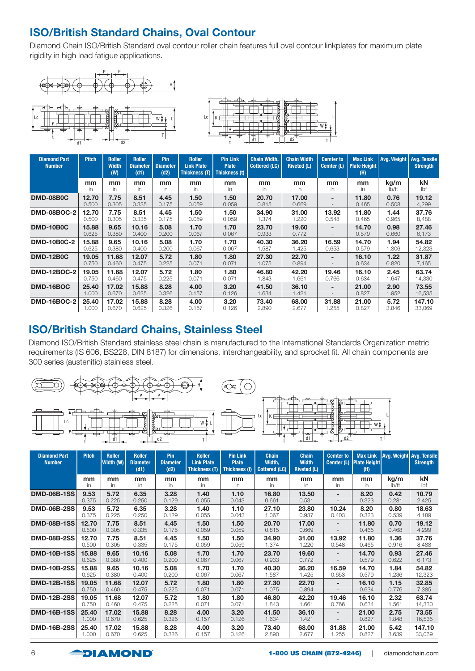## ISO/British Standard Chains, Oval Contour

Diamond Chain ISO/British Standard oval contour roller chain features full oval contour linkplates for maximum plate rigidity in high load fatigue applications.





| <b>Diamond Part</b><br><b>Number</b> | <b>Pitch</b>   | <b>Roller</b><br><b>Width</b><br>(W) | <b>Roller</b><br><b>Diameter</b><br>(d1) | Pin<br><b>Diameter</b><br>(d2) | <b>Roller</b><br><b>Link Plate</b><br>Thickness (T) | <b>Pin Link</b><br><b>Plate</b><br>Thickness (t) | <b>Chain Width,</b><br><b>Cottered (LC)</b> | <b>Chain Width</b><br><b>Riveted (L)</b> | <b>Cemter to</b><br>Cemter (L) | <b>Max Link</b><br><b>Plate Height</b><br>(H) | Avg. Weight   | <b>Avg. Tensile</b><br><b>Strength</b> |
|--------------------------------------|----------------|--------------------------------------|------------------------------------------|--------------------------------|-----------------------------------------------------|--------------------------------------------------|---------------------------------------------|------------------------------------------|--------------------------------|-----------------------------------------------|---------------|----------------------------------------|
|                                      | mm             | mm                                   | mm                                       | mm                             | mm                                                  | mm                                               | mm                                          | mm                                       | mm                             | mm                                            | kg/m          | kN                                     |
|                                      | in.            | in                                   | in.                                      | in.                            | in                                                  | in.                                              | in.                                         | in                                       | in.                            | in.                                           | lb/ft         | Ibf                                    |
| <b>DMD-08B0C</b>                     | 12.70<br>0.500 | 7.75<br>0.305                        | 8.51<br>0.335                            | 4.45<br>0.175                  | 1.50<br>0.059                                       | 1.50<br>0.059                                    | 20.70<br>0.815                              | 17.00<br>0.669                           | -                              | 11.80<br>0.465                                | 0.76<br>0.508 | 19.12<br>4,299                         |
| <b>DMD-08BOC-2</b>                   | 12.70          | 7.75                                 | 8.51                                     | 4.45                           | 1.50                                                | 1.50                                             | 34.90                                       | 31.00                                    | 13.92                          | 11.80                                         | 1.44          | 37.76                                  |
|                                      | 0.500          | 0.305                                | 0.335                                    | 0.175                          | 0.059                                               | 0.059                                            | 1.374                                       | .220                                     | 0.548                          | 0.465                                         | 0.965         | 8,488                                  |
| <b>DMD-10B0C</b>                     | 15.88<br>0.625 | 9.65<br>0.380                        | 10.16<br>0.400                           | 5.08<br>0.200                  | 1.70<br>0.067                                       | 1.70<br>0.067                                    | 23.70<br>0.933                              | 19.60<br>0.772                           | -                              | 14.70<br>0.579                                | 0.98<br>0.660 | 27.46<br>6,173                         |
| <b>DMD-10B0C-2</b>                   | 15.88          | 9.65                                 | 10.16                                    | 5.08                           | 1.70                                                | 1.70                                             | 40.30                                       | 36.20                                    | 16.59                          | 14.70                                         | 1.94          | 54.82                                  |
|                                      | 0.625          | 0.380                                | 0.400                                    | 0.200                          | 0.067                                               | 0.067                                            | 1.587                                       | 1.425                                    | 0.653                          | 0.579                                         | 1.306         | 12,323                                 |
| <b>DMD-12B0C</b>                     | 19.05<br>0.750 | 11.68<br>0.460                       | 12.07<br>0.475                           | 5.72<br>0.225                  | 1.80<br>0.071                                       | 1.80<br>0.071                                    | 27.30<br>1.075                              | 22.70<br>0.894                           | -                              | 16.10<br>0.634                                | 1.22<br>0.820 | 31.87<br>7,165                         |
| <b>DMD-12BOC-2</b>                   | 19.05          | 11.68                                | 12.07                                    | 5.72                           | 1.80                                                | 1.80                                             | 46.80                                       | 42.20                                    | 19.46                          | 16.10                                         | 2.45          | 63.74                                  |
|                                      | 0.750          | 0.460                                | 0.475                                    | 0.225                          | 0.071                                               | 0.071                                            | 1.843                                       | 1.661                                    | 0.766                          | 0.634                                         | 1.647         | 14,330                                 |
| DMD-16BOC                            | 25.40<br>1.000 | 17.02<br>0.670                       | 15.88<br>0.625                           | 8.28<br>0.326                  | 4.00<br>0.157                                       | 3.20<br>0.126                                    | 41.50<br>1.634                              | 36.10<br>1.421                           | -                              | 21.00<br>0.827                                | 2.90<br>1.952 | 73.55<br>16,535                        |
| <b>DMD-16BOC-2</b>                   | 25.40          | 17.02                                | 15.88                                    | 8.28                           | 4.00                                                | 3,20                                             | 73.40                                       | 68.00                                    | 31.88                          | 21.00                                         | 5.72          | 147.10                                 |
|                                      | 1.000          | 0.670                                | 0.625                                    | 0.326                          | 0.157                                               | 0.126                                            | 2.890                                       | 2.677                                    | .255                           | 0.827                                         | 3.846         | 33,069                                 |

#### ISO/British Standard Chains, Stainless Steel

Diamond ISO/British Standard stainless steel chain is manufactured to the International Standards Organization metric requirements (IS 606, BS228, DIN 8187) for dimensions, interchangeability, and sprocket fit. All chain components are 300 series (austenitic) stainless steel.



| <b>Diamond Part</b><br><b>Number</b> | <b>Pitch</b>   | <b>Roller</b><br>Width (W) | <b>Roller</b><br><b>Diameter</b><br>(d1) | Pin<br><b>Diameter</b><br>(d2) | <b>Roller</b><br><b>Link Plate</b><br><b>Thickness (T)</b> | <b>Pin Link</b><br><b>Plate</b><br><b>Thickness (t)</b> | <b>Chain</b><br>Width,<br><b>Cottered (LC)</b> | <b>Chain</b><br><b>Width</b><br><b>Riveted (L)</b> | <b>Cemter to</b>         | <b>Max Link</b><br>Cemter (L) Plate Height<br>(H) | Avg. Weight Avg. Tensile | <b>Strength</b> |
|--------------------------------------|----------------|----------------------------|------------------------------------------|--------------------------------|------------------------------------------------------------|---------------------------------------------------------|------------------------------------------------|----------------------------------------------------|--------------------------|---------------------------------------------------|--------------------------|-----------------|
|                                      | mm             | mm                         | mm                                       | mm                             | mm                                                         | mm                                                      | mm                                             | mm                                                 | mm                       | mm                                                | kg/m                     | kN              |
|                                      | in             | in.                        | in.                                      | in                             | in.                                                        | in.                                                     | in.                                            | in                                                 | in                       | in                                                | lb/ft                    | lbf             |
| <b>DMD-06B-1SS</b>                   | 9.53<br>0.375  | 5.72<br>0.225              | 6.35<br>0.250                            | 3.28<br>0.129                  | 1.40<br>0.055                                              | 1.10<br>0.043                                           | 16.80<br>0.661                                 | 13.50<br>0.531                                     |                          | 8.20<br>0.323                                     | 0.42<br>0.281            | 10.79<br>2,425  |
| <b>DMD-06B-2SS</b>                   | 9.53           | 5.72                       | 6.35                                     | 3.28                           | 1.40                                                       | 1.10                                                    | 27.10                                          | 23.80                                              | 10.24                    | 8.20                                              | 0.80                     | 18.63           |
|                                      | 0.375          | 0.225                      | 0.250                                    | 0.129                          | 0.055                                                      | 0.043                                                   | 1.067                                          | 0.937                                              | 0.403                    | 0.323                                             | 0.539                    | 4,189           |
| <b>DMD-08B-1SS</b>                   | 12.70<br>0.500 | 7.75<br>0.305              | 8.51<br>0.335                            | 4.45<br>0.175                  | 1.50<br>0.059                                              | 1.50<br>0.059                                           | 20.70<br>0.815                                 | 17.00<br>0.669                                     |                          | 11.80<br>0.465                                    | 0.70<br>0.468            | 19.12<br>4,299  |
| <b>DMD-08B-2SS</b>                   | 12.70          | 7.75                       | 8.51                                     | 4.45                           | 1.50                                                       | 1.50                                                    | 34.90                                          | 31.00                                              | 13.92                    | 11.80                                             | 1.36                     | 37.76           |
|                                      | 0.500          | 0.305                      | 0.335                                    | 0.175                          | 0.059                                                      | 0.059                                                   | 1.374                                          | 1.220                                              | 0.548                    | 0.465                                             | 0.916                    | 8,488           |
| <b>DMD-10B-1SS</b>                   | 15.88<br>0.625 | 9.65<br>0.380              | 10.16<br>0.400                           | 5.08<br>0.200                  | 1.70<br>0.067                                              | 1.70<br>0.067                                           | 23.70<br>0.933                                 | 19.60<br>0.772                                     | $\overline{\phantom{a}}$ | 14.70<br>0.579                                    | 0.93<br>0.622            | 27.46<br>6,173  |
| <b>DMD-10B-2SS</b>                   | 15.88          | 9.65                       | 10.16                                    | 5.08                           | 1.70                                                       | 1.70                                                    | 40.30                                          | 36.20                                              | 16.59                    | 14.70                                             | 1.84                     | 54.82           |
|                                      | 0.625          | 0.380                      | 0.400                                    | 0.200                          | 0.067                                                      | 0.067                                                   | 1.587                                          | 1.425                                              | 0.653                    | 0.579                                             | 1.236                    | 12,323          |
| <b>DMD-12B-1SS</b>                   | 19.05<br>0.750 | 11.68<br>0.460             | 12.07<br>0.475                           | 5.72<br>0.225                  | 1.80<br>0.071                                              | 1.80<br>0.071                                           | 27.30<br>1.075                                 | 22.70<br>0.894                                     |                          | 16.10<br>0.634                                    | 1.15<br>0.776            | 32.85<br>7,385  |
| <b>DMD-12B-2SS</b>                   | 19.05          | 11.68                      | 12.07                                    | 5.72                           | 1.80                                                       | 1.80                                                    | 46.80                                          | 42.20                                              | 19.46                    | 16.10                                             | 2.32                     | 63.74           |
|                                      | 0.750          | 0.460                      | 0.475                                    | 0.225                          | 0.071                                                      | 0.071                                                   | 1.843                                          | 1.661                                              | 0.766                    | 0.634                                             | 1.561                    | 14,330          |
| <b>DMD-16B-1SS</b>                   | 25.40<br>1.000 | 17.02<br>0.670             | 15.88<br>0.625                           | 8.28<br>0.326                  | 4.00<br>0.157                                              | 3.20<br>0.126                                           | 41.50<br>1.634                                 | 36.10<br>1.421                                     | -                        | 21.00<br>0.827                                    | 2.75<br>1.848            | 73.55<br>16,535 |
| <b>DMD-16B-2SS</b>                   | 25.40          | 17.02                      | 15.88                                    | 8.28                           | 4.00                                                       | 3.20                                                    | 73.40                                          | 68.00                                              | 31.88                    | 21.00                                             | 5.42                     | 147.10          |
|                                      | 1.000          | 0.670                      | 0.625                                    | 0.326                          | 0.157                                                      | 0.126                                                   | 2.890                                          | 2.677                                              | 1.255                    | 0.827                                             | 3.639                    | 33,069          |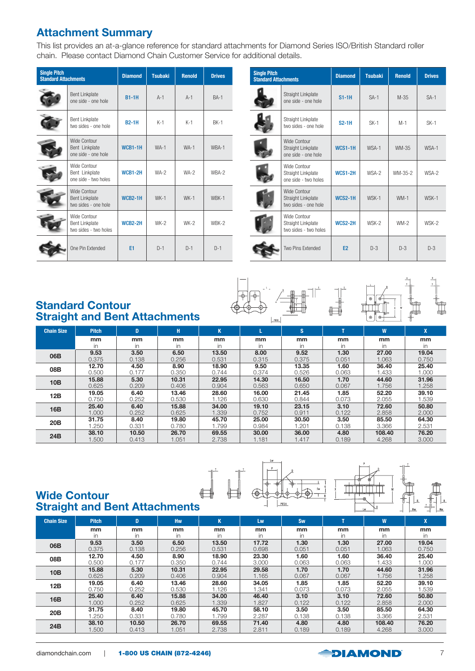### Attachment Summary

This list provides an at-a-glance reference for standard attachments for Diamond Series ISO/British Standard roller chain. Please contact Diamond Chain Customer Service for additional details.

| <b>Single Pitch</b><br><b>Standard Attachments</b> |                                                                | <b>Diamond</b> | <b>Tsubaki</b> | <b>Renold</b> | <b>Drives</b> |
|----------------------------------------------------|----------------------------------------------------------------|----------------|----------------|---------------|---------------|
|                                                    | <b>Bent Linkplate</b><br>one side - one hole                   | $B1-1H$        | $A-1$          | $A-1$         | $RA-1$        |
|                                                    | Bent Linkplate<br>two sides - one hole                         | <b>B2-1H</b>   | $K-1$          | $K-1$         | <b>BK-1</b>   |
|                                                    | Wide Contour<br>Bent Linkplate<br>one side - one hole          | <b>WCB1-1H</b> | $WA-1$         | $WA-1$        | WBA-1         |
|                                                    | Wide Contour<br>Bent Linkplate<br>one side - two holes         | <b>WCB1-2H</b> | $WA-2$         | $WA-2$        | WBA-2         |
|                                                    | Wide Contour<br><b>Bent Linkplate</b><br>two sides - one hole  | <b>WCB2-1H</b> | $WK-1$         | $WK-1$        | WBK-1         |
|                                                    | Wide Contour<br><b>Bent Linkplate</b><br>two sides - two holes | WCB2-2H        | $WK-2$         | $WK-2$        | WBK-2         |
|                                                    | One Pin Extended                                               | E1             | $D-1$          | $D-1$         | $D-1$         |

| <b>Single Pitch</b><br><b>Standard Attachments</b> |                                                             | <b>Diamond</b> | <b>Tsubaki</b> | <b>Renold</b> | <b>Drives</b> |
|----------------------------------------------------|-------------------------------------------------------------|----------------|----------------|---------------|---------------|
|                                                    | Straight Linkplate<br>one side - one hole                   | $S1-1H$        | $SA-1$         | $M-35$        | $SA-1$        |
|                                                    | Straight Linkplate<br>two sides - one hole                  | $S2-1H$        | $SK-1$         | $M-1$         | $SK-1$        |
|                                                    | Wide Contour<br>Straight Linkplate<br>one side - one hole   | <b>WCS1-1H</b> | WSA-1          | WM-35         | WSA-1         |
|                                                    | Wide Contour<br>Straight Linkplate<br>one side - two holes  | <b>WCS1-2H</b> | WSA-2          | WM-35-2       | WSA-2         |
|                                                    | Wide Contour<br>Straight Linkplate<br>two sides - one hole  | <b>WCS2-1H</b> | WSK-1          | $WM-1$        | WSK-1         |
|                                                    | Wide Contour<br>Straight Linkplate<br>two sides - two holes | <b>WCS2-2H</b> | WSK-2          | $WM-2$        | WSK-2         |
|                                                    | Two Pins Extended                                           | E <sub>2</sub> | $D-3$          | $D-3$         | $D-3$         |

#### Standard Contour Straight and Bent Attachments



| <b>Chain Size</b> | <b>Pitch</b> | D     | H     | ĸ     |       | s     |       | W.     |       |
|-------------------|--------------|-------|-------|-------|-------|-------|-------|--------|-------|
|                   | mm           | mm    | mm    | mm    | mm    | mm    | mm    | mm     | mm    |
|                   |              | in    | in    | in.   | in    | in    | in    | in     | in    |
| 06B               | 9.53         | 3.50  | 6.50  | 13.50 | 8.00  | 9.52  | 1.30  | 27.00  | 19.04 |
|                   | 0.375        | 0.138 | 0.256 | 0.531 | 0.315 | 0.375 | 0.051 | 1.063  | 0.750 |
| 08B               | 12.70        | 4.50  | 8.90  | 18.90 | 9.50  | 13.35 | 1.60  | 36.40  | 25.40 |
|                   | 0.500        | 0.177 | 0.350 | 0.744 | 0.374 | 0.526 | 0.063 | 1.433  | 1.000 |
| 10B               | 15.88        | 5.30  | 10.31 | 22.95 | 14.30 | 16.50 | 1.70  | 44.60  | 31.96 |
|                   | 0.625        | 0.209 | 0.406 | 0.904 | 0.563 | 0.650 | 0.067 | 1.756  | 1.258 |
| 12B               | 19.05        | 6.40  | 13.46 | 28.60 | 16.00 | 21.45 | 1.85  | 52.20  | 39.10 |
|                   | 0.750        | 0.252 | 0.530 | 1.126 | 0.630 | 0.844 | 0.073 | 2.055  | .539  |
| 16B               | 25.40        | 6.40  | 15.88 | 34.00 | 19.10 | 23.15 | 3.10  | 72.60  | 50.80 |
|                   | 1.000        | 0.252 | 0.625 | .339  | 0.752 | 0.911 | 0.122 | 2.858  | 2.000 |
| 20 <sub>B</sub>   | 31.75        | 8.40  | 19.80 | 45.70 | 25.00 | 30.50 | 3.50  | 85.50  | 64.30 |
|                   | 1.250        | 0.331 | 0.780 | .799  | 0.984 | 1.201 | 0.138 | 3.366  | 2.531 |
| 24B               | 38.10        | 10.50 | 26.70 | 69.55 | 30.00 | 36.00 | 4.80  | 108.40 | 76.20 |
|                   | 1.500        | 0.413 | 1.051 | 2.738 | 1.181 | 1.417 | 0.189 | 4.268  | 3.000 |



#### Wide Contour **Straight and Bent Attachments**

|                   |              |       |       |               |       |       |       |        | .     |
|-------------------|--------------|-------|-------|---------------|-------|-------|-------|--------|-------|
| <b>Chain Size</b> | <b>Pitch</b> | D     | Hw    | K             | Lw    | Sw    | ÷     | W      | X     |
|                   | mm           | mm    | mm    | <sub>mm</sub> | mm    | mm    | mm    | mm     | mm    |
|                   | in           | in    | in.   | in            | in.   | in.   | in.   | in.    | in.   |
| 06B               | 9.53         | 3.50  | 6.50  | 13.50         | 17.72 | 1.30  | 1.30  | 27.00  | 19.04 |
|                   | 0.375        | 0.138 | 0.256 | 0.531         | 0.698 | 0.051 | 0.051 | 1.063  | 0.750 |
| 08B               | 12.70        | 4.50  | 8.90  | 18.90         | 23.30 | 1.60  | 1.60  | 36.40  | 25.40 |
|                   | 0.500        | 0.177 | 0.350 | 0.744         | 3.000 | 0.063 | 0.063 | 1.433  | 1.000 |
| 10B               | 15.88        | 5.30  | 10.31 | 22.95         | 29.58 | 1.70  | 1.70  | 44.60  | 31.96 |
|                   | 0.625        | 0.209 | 0.406 | 0.904         | 1.165 | 0.067 | 0.067 | 1.756  | 1.258 |
| 12B               | 19.05        | 6.40  | 13.46 | 28.60         | 34.05 | 1.85  | 1.85  | 52.20  | 39.10 |
|                   | 0.750        | 0.252 | 0.530 | 1.126         | 1.341 | 0.073 | 0.073 | 2.055  | 1.539 |
| 16B               | 25.40        | 6.40  | 15.88 | 34.00         | 46.40 | 3.10  | 3.10  | 72.60  | 50.80 |
|                   | 1.000        | 0.252 | 0.625 | 1.339         | 1.827 | 0.122 | 0.122 | 2.858  | 2.000 |
| 20 <sub>B</sub>   | 31.75        | 8.40  | 19.80 | 45.70         | 58.10 | 3.50  | 3.50  | 85.50  | 64.30 |
|                   | 1.250        | 0.331 | 0.780 | .799          | 2.287 | 0.138 | 0.138 | 3.366  | 2.531 |
| 24B               | 38.10        | 10.50 | 26.70 | 69.55         | 71.40 | 4.80  | 4.80  | 108.40 | 76.20 |
|                   | 1.500        | 0.413 | 1.051 | 2.738         | 2.811 | 0.189 | 0.189 | 4.268  | 3.000 |



 $\begin{picture}(45,10) \put(0,0){\line(1,0){10}} \put(10,0){\line(1,0){10}} \put(10,0){\line(1,0){10}} \put(10,0){\line(1,0){10}} \put(10,0){\line(1,0){10}} \put(10,0){\line(1,0){10}} \put(10,0){\line(1,0){10}} \put(10,0){\line(1,0){10}} \put(10,0){\line(1,0){10}} \put(10,0){\line(1,0){10}} \put(10,0){\line(1,0){10}} \put(10,0){\line(1$